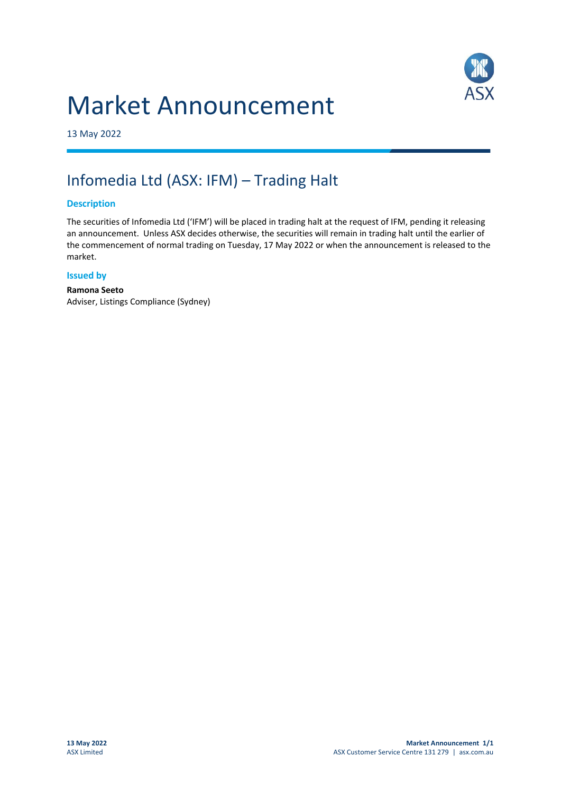# Market Announcement



13 May 2022

## Infomedia Ltd (ASX: IFM) – Trading Halt

#### **Description**

The securities of Infomedia Ltd ('IFM') will be placed in trading halt at the request of IFM, pending it releasing an announcement. Unless ASX decides otherwise, the securities will remain in trading halt until the earlier of the commencement of normal trading on Tuesday, 17 May 2022 or when the announcement is released to the market.

#### **Issued by**

**Ramona Seeto** Adviser, Listings Compliance (Sydney)